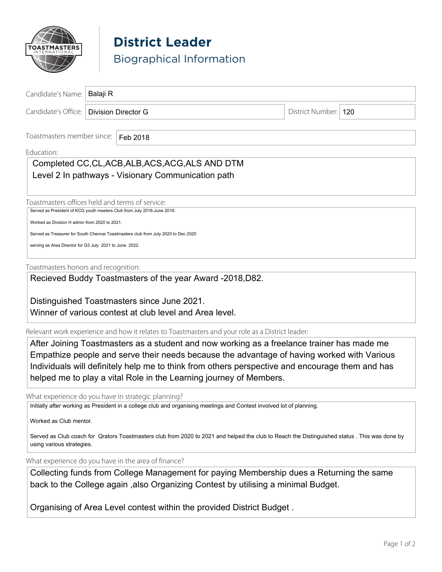

# **District Leader** Biographical Information

| Candidate's Name:                                                                  | Balaji R            |  |  |  |                      |  |
|------------------------------------------------------------------------------------|---------------------|--|--|--|----------------------|--|
| Candidate's Office:                                                                | Division Director G |  |  |  | District Number: 120 |  |
| Toastmasters member since:<br>Feb 2018<br>Education:                               |                     |  |  |  |                      |  |
| Completed CC, CL, ACB, ALB, ACS, ACG, ALS AND DTM                                  |                     |  |  |  |                      |  |
| Level 2 In pathways - Visionary Communication path                                 |                     |  |  |  |                      |  |
|                                                                                    |                     |  |  |  |                      |  |
| Toastmasters offices held and terms of service:                                    |                     |  |  |  |                      |  |
| Served as President of KCG youth masters Club from July 2018-June 2019.            |                     |  |  |  |                      |  |
| Worked as Division H admin from 2020 to 2021.                                      |                     |  |  |  |                      |  |
| Served as Treasurer for South Chennai Toastmasters club from July 2020 to Dec 2020 |                     |  |  |  |                      |  |
| serving as Area Director for G3 July 2021 to June 2022.                            |                     |  |  |  |                      |  |
| Toastmasters honors and recognition:                                               |                     |  |  |  |                      |  |
| Recieved Buddy Toastmasters of the year Award -2018, D82.                          |                     |  |  |  |                      |  |
|                                                                                    |                     |  |  |  |                      |  |
| Distinguished Toastmasters since June 2021.                                        |                     |  |  |  |                      |  |
| Winner of various contest at club level and Area level.                            |                     |  |  |  |                      |  |

Relevant work experience and how it relates to Toastmasters and your role as a District leader:

After Joining Toastmasters as a student and now working as a freelance trainer has made me Empathize people and serve their needs because the advantage of having worked with Various Individuals will definitely help me to think from others perspective and encourage them and has helped me to play a vital Role in the Learning journey of Members.

What experience do you have in strategic planning?

Initially after working as President in a college club and organising meetings and Contest involved lot of planning.

Worked as Club mentor.

Served as Club coach for Qrators Toastmasters club from 2020 to 2021 and helped the club to Reach the Distinguished status . This was done by using various strategies.

What experience do you have in the area of finance?

Collecting funds from College Management for paying Membership dues a Returning the same back to the College again ,also Organizing Contest by utilising a minimal Budget.

Organising of Area Level contest within the provided District Budget .